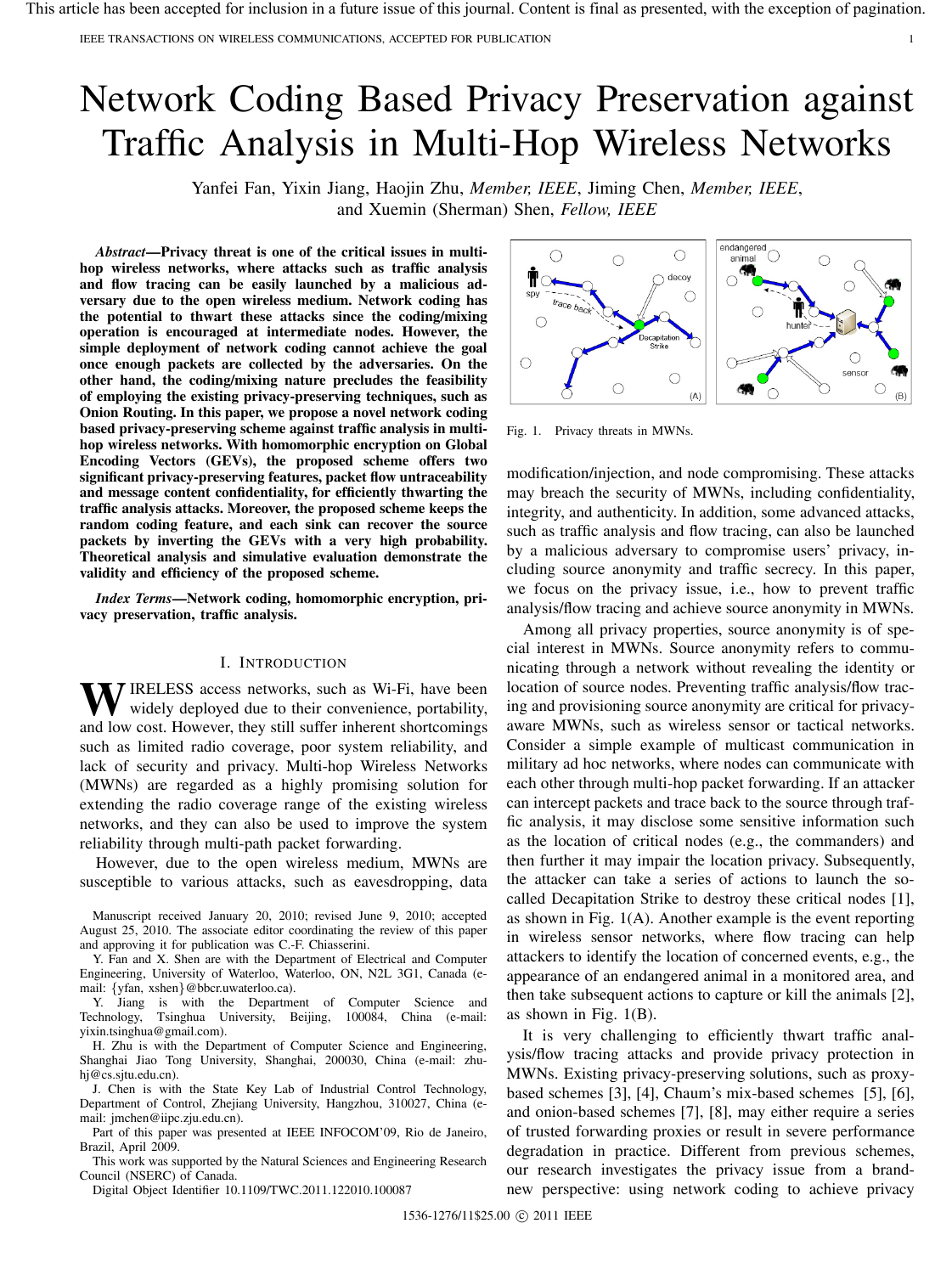IEEE TRANSACTIONS ON WIRELESS COMMUNICATIONS, ACCEPTED FOR PUBLICATION 1

# Network Coding Based Privacy Preservation against Traffic Analysis in Multi-Hop Wireless Networks

Yanfei Fan, Yixin Jiang, Haojin Zhu, *Member, IEEE*, Jiming Chen, *Member, IEEE*, and Xuemin (Sherman) Shen, *Fellow, IEEE*

*Abstract***—Privacy threat is one of the critical issues in multihop wireless networks, where attacks such as traffic analysis and flow tracing can be easily launched by a malicious adversary due to the open wireless medium. Network coding has the potential to thwart these attacks since the coding/mixing operation is encouraged at intermediate nodes. However, the simple deployment of network coding cannot achieve the goal once enough packets are collected by the adversaries. On the other hand, the coding/mixing nature precludes the feasibility of employing the existing privacy-preserving techniques, such as Onion Routing. In this paper, we propose a novel network coding based privacy-preserving scheme against traffic analysis in multihop wireless networks. With homomorphic encryption on Global Encoding Vectors (GEVs), the proposed scheme offers two significant privacy-preserving features, packet flow untraceability and message content confidentiality, for efficiently thwarting the traffic analysis attacks. Moreover, the proposed scheme keeps the random coding feature, and each sink can recover the source packets by inverting the GEVs with a very high probability. Theoretical analysis and simulative evaluation demonstrate the validity and efficiency of the proposed scheme.**

*Index Terms***—Network coding, homomorphic encryption, privacy preservation, traffic analysis.**

#### I. INTRODUCTION

**WIRELESS** access networks, such as Wi-Fi, have been widely deployed due to their convenience, portability, and low cost. However, they still suffer inherent shortcomings such as limited radio coverage, poor system reliability, and lack of security and privacy. Multi-hop Wireless Networks (MWNs) are regarded as a highly promising solution for extending the radio coverage range of the existing wireless networks, and they can also be used to improve the system reliability through multi-path packet forwarding.

However, due to the open wireless medium, MWNs are susceptible to various attacks, such as eavesdropping, data

Manuscript received January 20, 2010; revised June 9, 2010; accepted August 25, 2010. The associate editor coordinating the review of this paper and approving it for publication was C.-F. Chiasserini.

Y. Fan and X. Shen are with the Department of Electrical and Computer Engineering, University of Waterloo, Waterloo, ON, N2L 3G1, Canada (email: {yfan, xshen}@bbcr.uwaterloo.ca).

Y. Jiang is with the Department of Computer Science and Technology, Tsinghua University, Beijing, 100084, China (e-mail: yixin.tsinghua@gmail.com).

H. Zhu is with the Department of Computer Science and Engineering, Shanghai Jiao Tong University, Shanghai, 200030, China (e-mail: zhuhj@cs.sjtu.edu.cn).

J. Chen is with the State Key Lab of Industrial Control Technology, Department of Control, Zhejiang University, Hangzhou, 310027, China (email: jmchen@iipc.zju.edu.cn).

Part of this paper was presented at IEEE INFOCOM'09, Rio de Janeiro, Brazil, April 2009.

This work was supported by the Natural Sciences and Engineering Research Council (NSERC) of Canada.

Digital Object Identifier 10.1109/TWC.2011.122010.100087



Fig. 1. Privacy threats in MWNs.

modification/injection, and node compromising. These attacks may breach the security of MWNs, including confidentiality, integrity, and authenticity. In addition, some advanced attacks, such as traffic analysis and flow tracing, can also be launched by a malicious adversary to compromise users' privacy, including source anonymity and traffic secrecy. In this paper, we focus on the privacy issue, i.e., how to prevent traffic analysis/flow tracing and achieve source anonymity in MWNs.

Among all privacy properties, source anonymity is of special interest in MWNs. Source anonymity refers to communicating through a network without revealing the identity or location of source nodes. Preventing traffic analysis/flow tracing and provisioning source anonymity are critical for privacyaware MWNs, such as wireless sensor or tactical networks. Consider a simple example of multicast communication in military ad hoc networks, where nodes can communicate with each other through multi-hop packet forwarding. If an attacker can intercept packets and trace back to the source through traffic analysis, it may disclose some sensitive information such as the location of critical nodes (e.g., the commanders) and then further it may impair the location privacy. Subsequently, the attacker can take a series of actions to launch the socalled Decapitation Strike to destroy these critical nodes [1], as shown in Fig. 1(A). Another example is the event reporting in wireless sensor networks, where flow tracing can help attackers to identify the location of concerned events, e.g., the appearance of an endangered animal in a monitored area, and then take subsequent actions to capture or kill the animals [2], as shown in Fig.  $1(B)$ .

It is very challenging to efficiently thwart traffic analysis/flow tracing attacks and provide privacy protection in MWNs. Existing privacy-preserving solutions, such as proxybased schemes [3], [4], Chaum's mix-based schemes [5], [6], and onion-based schemes [7], [8], may either require a series of trusted forwarding proxies or result in severe performance degradation in practice. Different from previous schemes, our research investigates the privacy issue from a brandnew perspective: using network coding to achieve privacy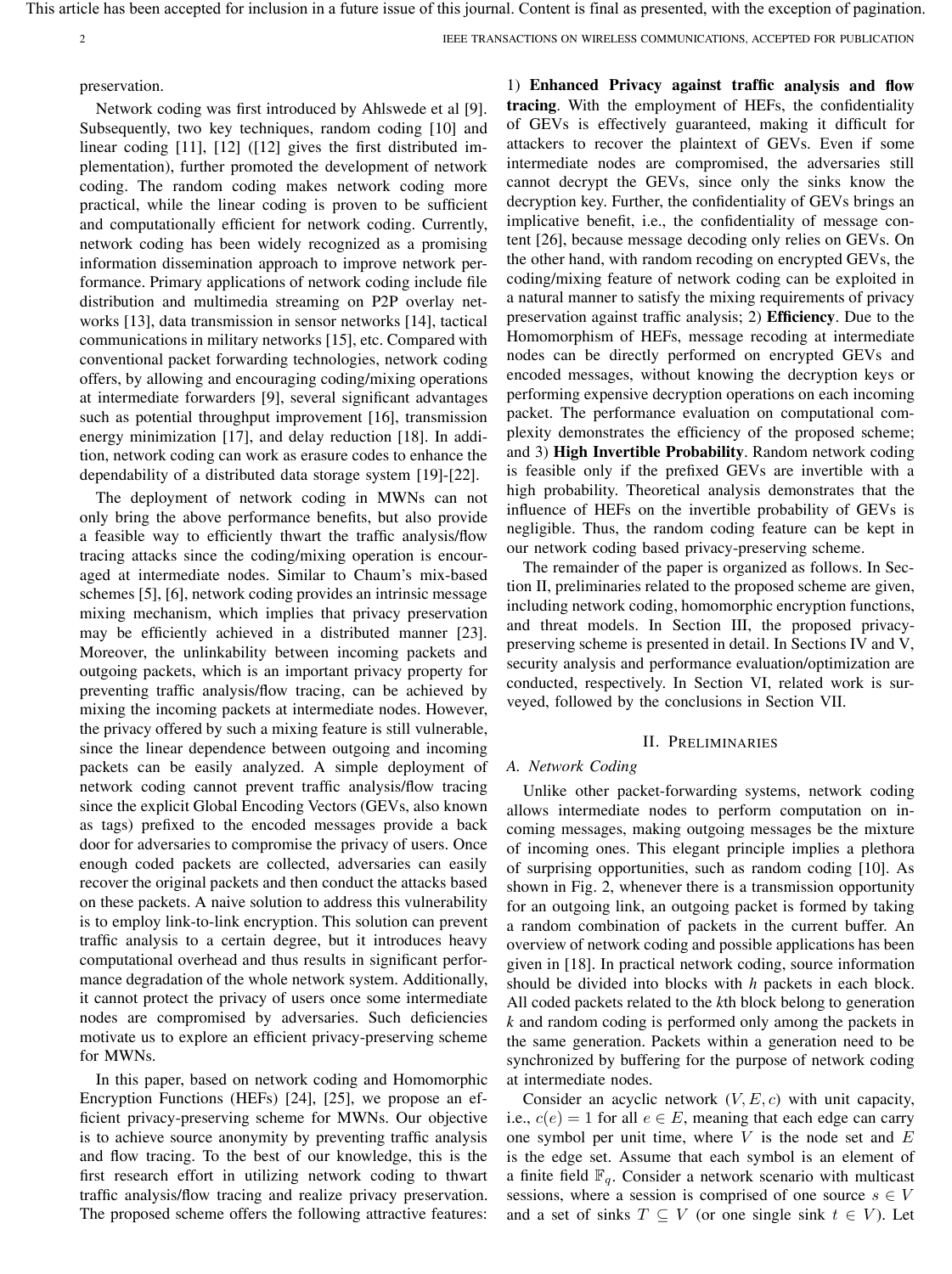#### preservation.

Network coding was first introduced by Ahlswede et al [9]. Subsequently, two key techniques, random coding [10] and linear coding [11], [12] ([12] gives the first distributed implementation), further promoted the development of network coding. The random coding makes network coding more practical, while the linear coding is proven to be sufficient and computationally efficient for network coding. Currently, network coding has been widely recognized as a promising information dissemination approach to improve network performance. Primary applications of network coding include file distribution and multimedia streaming on P2P overlay networks [13], data transmission in sensor networks [14], tactical communications in military networks [15], etc. Compared with conventional packet forwarding technologies, network coding offers, by allowing and encouraging coding/mixing operations at intermediate forwarders [9], several significant advantages such as potential throughput improvement [16], transmission energy minimization [17], and delay reduction [18]. In addition, network coding can work as erasure codes to enhance the dependability of a distributed data storage system [19]-[22].

The deployment of network coding in MWNs can not only bring the above performance benefits, but also provide a feasible way to efficiently thwart the traffic analysis/flow tracing attacks since the coding/mixing operation is encouraged at intermediate nodes. Similar to Chaum's mix-based schemes [5], [6], network coding provides an intrinsic message mixing mechanism, which implies that privacy preservation may be efficiently achieved in a distributed manner [23]. Moreover, the unlinkability between incoming packets and outgoing packets, which is an important privacy property for preventing traffic analysis/flow tracing, can be achieved by mixing the incoming packets at intermediate nodes. However, the privacy offered by such a mixing feature is still vulnerable, since the linear dependence between outgoing and incoming packets can be easily analyzed. A simple deployment of network coding cannot prevent traffic analysis/flow tracing since the explicit Global Encoding Vectors (GEVs, also known as tags) prefixed to the encoded messages provide a back door for adversaries to compromise the privacy of users. Once enough coded packets are collected, adversaries can easily recover the original packets and then conduct the attacks based on these packets. A naive solution to address this vulnerability is to employ link-to-link encryption. This solution can prevent traffic analysis to a certain degree, but it introduces heavy computational overhead and thus results in significant performance degradation of the whole network system. Additionally, it cannot protect the privacy of users once some intermediate nodes are compromised by adversaries. Such deficiencies motivate us to explore an efficient privacy-preserving scheme for MWNs.

In this paper, based on network coding and Homomorphic Encryption Functions (HEFs) [24], [25], we propose an efficient privacy-preserving scheme for MWNs. Our objective is to achieve source anonymity by preventing traffic analysis and flow tracing. To the best of our knowledge, this is the first research effort in utilizing network coding to thwart traffic analysis/flow tracing and realize privacy preservation. The proposed scheme offers the following attractive features:

1) **Enhanced Privacy against traffic analysis and flow tracing**. With the employment of HEFs, the confidentiality of GEVs is effectively guaranteed, making it difficult for attackers to recover the plaintext of GEVs. Even if some intermediate nodes are compromised, the adversaries still cannot decrypt the GEVs, since only the sinks know the decryption key. Further, the confidentiality of GEVs brings an implicative benefit, i.e., the confidentiality of message content [26], because message decoding only relies on GEVs. On the other hand, with random recoding on encrypted GEVs, the coding/mixing feature of network coding can be exploited in a natural manner to satisfy the mixing requirements of privacy preservation against traffic analysis; 2) **Efficiency**. Due to the Homomorphism of HEFs, message recoding at intermediate nodes can be directly performed on encrypted GEVs and encoded messages, without knowing the decryption keys or performing expensive decryption operations on each incoming packet. The performance evaluation on computational complexity demonstrates the efficiency of the proposed scheme; and 3) **High Invertible Probability**. Random network coding is feasible only if the prefixed GEVs are invertible with a high probability. Theoretical analysis demonstrates that the influence of HEFs on the invertible probability of GEVs is negligible. Thus, the random coding feature can be kept in our network coding based privacy-preserving scheme.

The remainder of the paper is organized as follows. In Section II, preliminaries related to the proposed scheme are given, including network coding, homomorphic encryption functions, and threat models. In Section III, the proposed privacypreserving scheme is presented in detail. In Sections IV and V, security analysis and performance evaluation/optimization are conducted, respectively. In Section VI, related work is surveyed, followed by the conclusions in Section VII.

#### II. PRELIMINARIES

#### *A. Network Coding*

Unlike other packet-forwarding systems, network coding allows intermediate nodes to perform computation on incoming messages, making outgoing messages be the mixture of incoming ones. This elegant principle implies a plethora of surprising opportunities, such as random coding [10]. As shown in Fig. 2, whenever there is a transmission opportunity for an outgoing link, an outgoing packet is formed by taking a random combination of packets in the current buffer. An overview of network coding and possible applications has been given in [18]. In practical network coding, source information should be divided into blocks with *h* packets in each block. All coded packets related to the *k*th block belong to generation *k* and random coding is performed only among the packets in the same generation. Packets within a generation need to be synchronized by buffering for the purpose of network coding at intermediate nodes.

Consider an acyclic network  $(V, E, c)$  with unit capacity, i.e.,  $c(e) = 1$  for all  $e \in E$ , meaning that each edge can carry one symbol per unit time, where  $V$  is the node set and  $E$ is the edge set. Assume that each symbol is an element of a finite field  $\mathbb{F}_q$ . Consider a network scenario with multicast sessions, where a session is comprised of one source  $s \in V$ and a set of sinks  $T \subseteq V$  (or one single sink  $t \in V$ ). Let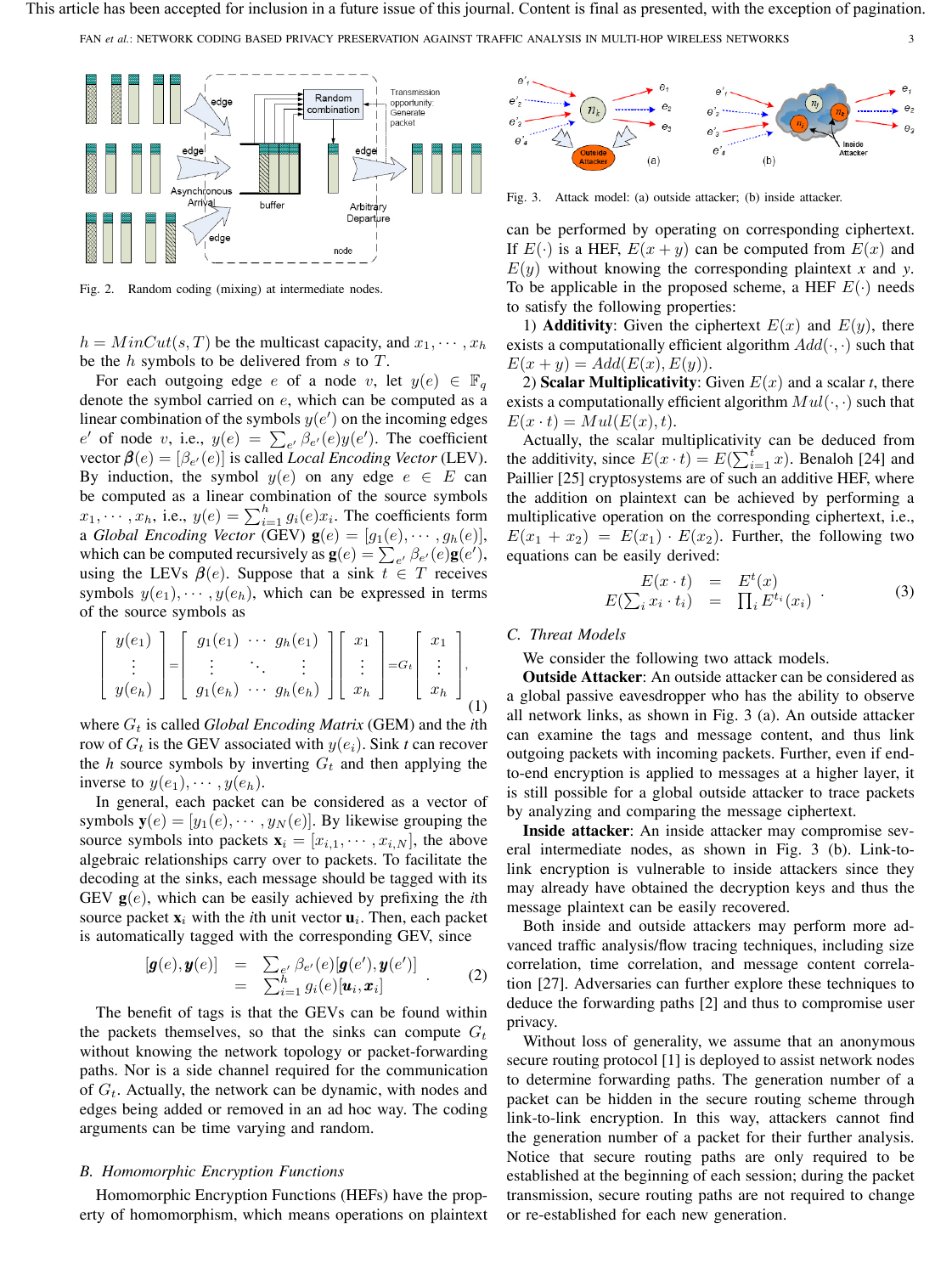FAN *et al.*: NETWORK CODING BASED PRIVACY PRESERVATION AGAINST TRAFFIC ANALYSIS IN MULTI-HOP WIRELESS NETWORKS 3



Fig. 2. Random coding (mixing) at intermediate nodes.

 $h = MinCut(s, T)$  be the multicast capacity, and  $x_1, \dots, x_h$ be the  $h$  symbols to be delivered from  $s$  to  $T$ .

For each outgoing edge *e* of a node v, let  $y(e) \in \mathbb{F}_q$ denote the symbol carried on  $e$ , which can be computed as a linear combination of the symbols  $y(e')$  on the incoming edges  $e'$  of node v, i.e.,  $y(e) = \sum_{e'} \beta_{e'}(e)y(e')$ . The coefficient vector  $\beta(e)=[\beta_{e'}(e)]$  is called *Local Encoding Vector* (LEV). By induction, the symbol  $y(e)$  on any edge  $e \in E$  can be computed as a linear combination of the source symbols  $x_1, \dots, x_h$ , i.e.,  $y(e) = \sum_{i=1}^h g_i(e) x_i$ . The coefficients form a *Global Encoding Vector* (GEV)  $\mathbf{g}(e) = [g_1(e), \cdots, g_h(e)],$ which can be computed recursively as  $\mathbf{g}(e) = \sum_{e'} \beta_{e'}(e) \mathbf{g}(e'),$ using the LEVs  $\beta(e)$ . Suppose that a sink  $t \in T$  receives symbols  $y(e_1), \dots, y(e_h)$ , which can be expressed in terms of the source symbols as

$$
\begin{bmatrix} y(e_1) \\ \vdots \\ y(e_h) \end{bmatrix} = \begin{bmatrix} g_1(e_1) & \cdots & g_h(e_1) \\ \vdots & \ddots & \vdots \\ g_1(e_h) & \cdots & g_h(e_h) \end{bmatrix} \begin{bmatrix} x_1 \\ \vdots \\ x_h \end{bmatrix} = G_t \begin{bmatrix} x_1 \\ \vdots \\ x_h \end{bmatrix},
$$
 (1)

where  $G_t$  is called *Global Encoding Matrix* (GEM) and the *i*th row of  $G_t$  is the GEV associated with  $y(e_i)$ . Sink *t* can recover the *h* source symbols by inverting  $G_t$  and then applying the inverse to  $y(e_1), \cdots, y(e_h)$ .

In general, each packet can be considered as a vector of symbols  $\mathbf{y}(e)=[y_1(e), \cdots, y_N(e)]$ . By likewise grouping the source symbols into packets  $\mathbf{x}_i = [x_{i,1}, \dots, x_{i,N}]$ , the above algebraic relationships carry over to packets. To facilitate the decoding at the sinks, each message should be tagged with its GEV  $g(e)$ , which can be easily achieved by prefixing the *i*th source packet  $\mathbf{x}_i$  with the *i*th unit vector  $\mathbf{u}_i$ . Then, each packet is automatically tagged with the corresponding GEV, since

$$
\begin{array}{rcl}\n[\boldsymbol{g}(e), \boldsymbol{y}(e)] & = & \sum_{e'} \beta_{e'}(e) [\boldsymbol{g}(e'), \boldsymbol{y}(e')] \\
& = & \sum_{i=1}^{h} g_i(e) [\boldsymbol{u}_i, \boldsymbol{x}_i] \end{array} . \tag{2}
$$

The benefit of tags is that the GEVs can be found within the packets themselves, so that the sinks can compute  $G_t$ without knowing the network topology or packet-forwarding paths. Nor is a side channel required for the communication of  $G_t$ . Actually, the network can be dynamic, with nodes and edges being added or removed in an ad hoc way. The coding arguments can be time varying and random.

#### *B. Homomorphic Encryption Functions*

Homomorphic Encryption Functions (HEFs) have the property of homomorphism, which means operations on plaintext



Fig. 3. Attack model: (a) outside attacker; (b) inside attacker.

can be performed by operating on corresponding ciphertext. If  $E(\cdot)$  is a HEF,  $E(x + y)$  can be computed from  $E(x)$  and  $E(y)$  without knowing the corresponding plaintext *x* and *y*. To be applicable in the proposed scheme, a HEF  $E(\cdot)$  needs to satisfy the following properties:

1) **Additivity**: Given the ciphertext  $E(x)$  and  $E(y)$ , there exists a computationally efficient algorithm  $Add(·, ·)$  such that  $E(x + y) = Add(E(x), E(y)).$ 

2) **Scalar Multiplicativity**: Given  $E(x)$  and a scalar *t*, there exists a computationally efficient algorithm  $Mul(·, ·)$  such that  $E(x \cdot t) = Mult(E(x), t).$ 

Actually, the scalar multiplicativity can be deduced from the additivity, since  $E(x \cdot t) = E(\sum_{i=1}^{t} x)$ . Benaloh [24] and Paillier [25] cryptosystems are of such an additive HEF, where the addition on plaintext can be achieved by performing a multiplicative operation on the corresponding ciphertext, i.e.,  $E(x_1 + x_2) = E(x_1) \cdot E(x_2)$ . Further, the following two equations can be easily derived:

$$
E(x \cdot t) = E^t(x)
$$
  

$$
E(\sum_i x_i \cdot t_i) = \prod_i E^{t_i}(x_i)
$$
 (3)

#### *C. Threat Models*

We consider the following two attack models.

**Outside Attacker**: An outside attacker can be considered as a global passive eavesdropper who has the ability to observe all network links, as shown in Fig. 3 (a). An outside attacker can examine the tags and message content, and thus link outgoing packets with incoming packets. Further, even if endto-end encryption is applied to messages at a higher layer, it is still possible for a global outside attacker to trace packets by analyzing and comparing the message ciphertext.

**Inside attacker**: An inside attacker may compromise several intermediate nodes, as shown in Fig. 3 (b). Link-tolink encryption is vulnerable to inside attackers since they may already have obtained the decryption keys and thus the message plaintext can be easily recovered.

Both inside and outside attackers may perform more advanced traffic analysis/flow tracing techniques, including size correlation, time correlation, and message content correlation [27]. Adversaries can further explore these techniques to deduce the forwarding paths [2] and thus to compromise user privacy.

Without loss of generality, we assume that an anonymous secure routing protocol [1] is deployed to assist network nodes to determine forwarding paths. The generation number of a packet can be hidden in the secure routing scheme through link-to-link encryption. In this way, attackers cannot find the generation number of a packet for their further analysis. Notice that secure routing paths are only required to be established at the beginning of each session; during the packet transmission, secure routing paths are not required to change or re-established for each new generation.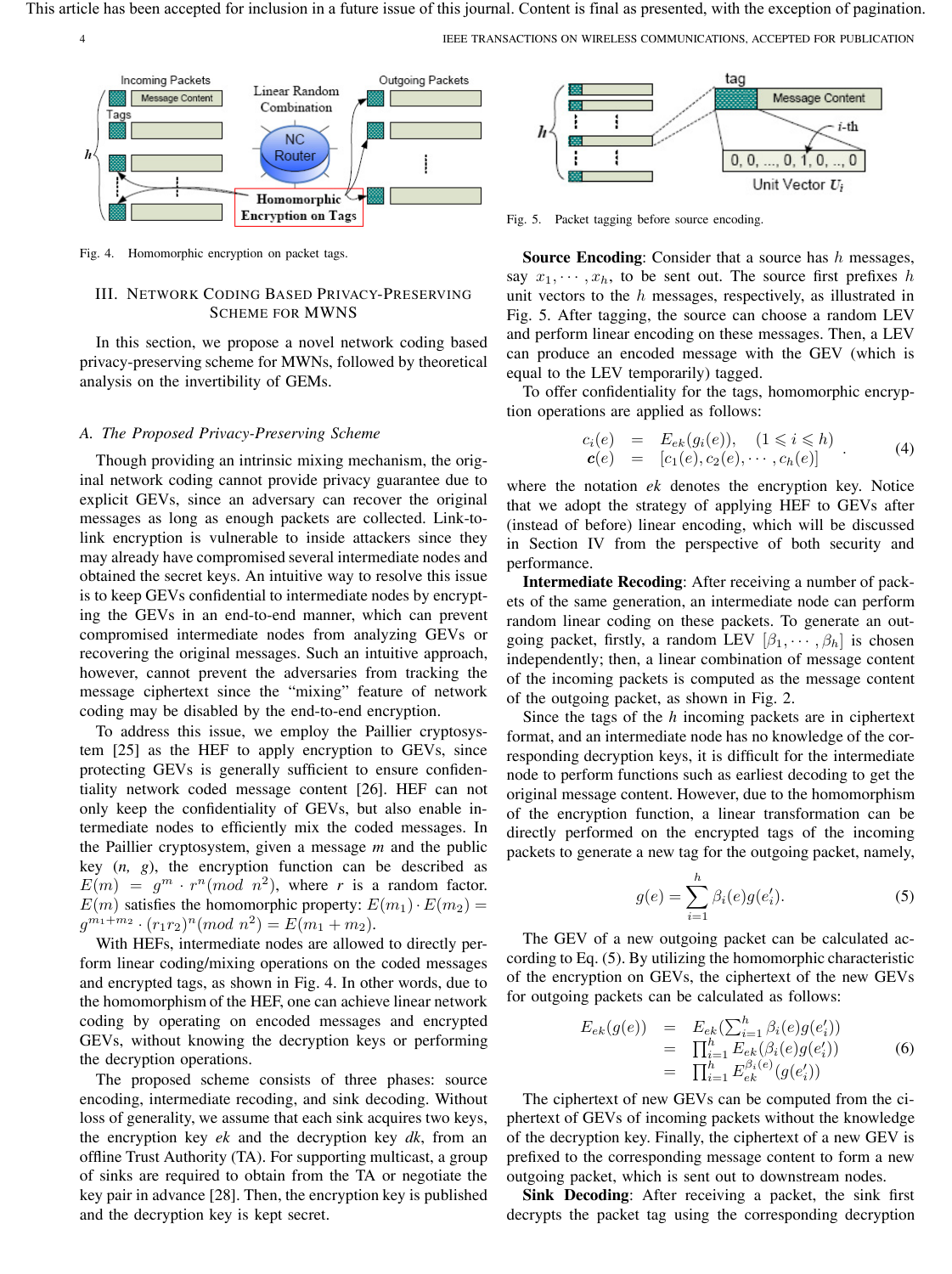4 IEEE TRANSACTIONS ON WIRELESS COMMUNICATIONS, ACCEPTED FOR PUBLICATION This article has been accepted for inclusion in a future issue of this journal. Content is final as presented, with the exception of pagination.



Fig. 4. Homomorphic encryption on packet tags.

### III. NETWORK CODING BASED PRIVACY-PRESERVING SCHEME FOR MWNS

In this section, we propose a novel network coding based privacy-preserving scheme for MWNs, followed by theoretical analysis on the invertibility of GEMs.

#### *A. The Proposed Privacy-Preserving Scheme*

Though providing an intrinsic mixing mechanism, the original network coding cannot provide privacy guarantee due to explicit GEVs, since an adversary can recover the original messages as long as enough packets are collected. Link-tolink encryption is vulnerable to inside attackers since they may already have compromised several intermediate nodes and obtained the secret keys. An intuitive way to resolve this issue is to keep GEVs confidential to intermediate nodes by encrypting the GEVs in an end-to-end manner, which can prevent compromised intermediate nodes from analyzing GEVs or recovering the original messages. Such an intuitive approach, however, cannot prevent the adversaries from tracking the message ciphertext since the "mixing" feature of network coding may be disabled by the end-to-end encryption.

To address this issue, we employ the Paillier cryptosystem [25] as the HEF to apply encryption to GEVs, since protecting GEVs is generally sufficient to ensure confidentiality network coded message content [26]. HEF can not only keep the confidentiality of GEVs, but also enable intermediate nodes to efficiently mix the coded messages. In the Paillier cryptosystem, given a message *m* and the public key (*n, g*), the encryption function can be described as  $E(m) = g^m \cdot r^n (mod \; n^2)$ , where r is a random factor.  $E(m)$  satisfies the homomorphic property:  $E(m_1) \cdot E(m_2) =$  $q^{m_1+m_2} \cdot (r_1r_2)^n (mod\ n^2) = E(m_1+m_2).$ 

With HEFs, intermediate nodes are allowed to directly perform linear coding/mixing operations on the coded messages and encrypted tags, as shown in Fig. 4. In other words, due to the homomorphism of the HEF, one can achieve linear network coding by operating on encoded messages and encrypted GEVs, without knowing the decryption keys or performing the decryption operations.

The proposed scheme consists of three phases: source encoding, intermediate recoding, and sink decoding. Without loss of generality, we assume that each sink acquires two keys, the encryption key *ek* and the decryption key *dk*, from an offline Trust Authority (TA). For supporting multicast, a group of sinks are required to obtain from the TA or negotiate the key pair in advance [28]. Then, the encryption key is published and the decryption key is kept secret.



Fig. 5. Packet tagging before source encoding.

**Source Encoding**: Consider that a source has h messages, say  $x_1, \dots, x_h$ , to be sent out. The source first prefixes h unit vectors to the  $h$  messages, respectively, as illustrated in Fig. 5. After tagging, the source can choose a random LEV and perform linear encoding on these messages. Then, a LEV can produce an encoded message with the GEV (which is equal to the LEV temporarily) tagged.

To offer confidentiality for the tags, homomorphic encryption operations are applied as follows:

$$
c_i(e) = E_{ek}(g_i(e)), (1 \le i \le h) \n\mathbf{c}(e) = [c_1(e), c_2(e), \cdots, c_h(e)]
$$
\n(4)

where the notation *ek* denotes the encryption key. Notice that we adopt the strategy of applying HEF to GEVs after (instead of before) linear encoding, which will be discussed in Section IV from the perspective of both security and performance.

**Intermediate Recoding**: After receiving a number of packets of the same generation, an intermediate node can perform random linear coding on these packets. To generate an outgoing packet, firstly, a random LEV  $[\beta_1, \cdots, \beta_h]$  is chosen independently; then, a linear combination of message content of the incoming packets is computed as the message content of the outgoing packet, as shown in Fig. 2.

Since the tags of the *h* incoming packets are in ciphertext format, and an intermediate node has no knowledge of the corresponding decryption keys, it is difficult for the intermediate node to perform functions such as earliest decoding to get the original message content. However, due to the homomorphism of the encryption function, a linear transformation can be directly performed on the encrypted tags of the incoming packets to generate a new tag for the outgoing packet, namely,

$$
g(e) = \sum_{i=1}^{h} \beta_i(e)g(e'_i).
$$
 (5)

The GEV of a new outgoing packet can be calculated according to Eq. (5). By utilizing the homomorphic characteristic of the encryption on GEVs, the ciphertext of the new GEVs for outgoing packets can be calculated as follows:

$$
E_{ek}(g(e)) = E_{ek}(\sum_{i=1}^{h} \beta_i(e)g(e'_i))
$$
  
= 
$$
\prod_{i=1}^{h} E_{ek}(\beta_i(e)g(e'_i))
$$
  
= 
$$
\prod_{i=1}^{h} E_{ek}^{\beta_i(e)}(g(e'_i))
$$
 (6)

The ciphertext of new GEVs can be computed from the ciphertext of GEVs of incoming packets without the knowledge of the decryption key. Finally, the ciphertext of a new GEV is prefixed to the corresponding message content to form a new outgoing packet, which is sent out to downstream nodes.

**Sink Decoding**: After receiving a packet, the sink first decrypts the packet tag using the corresponding decryption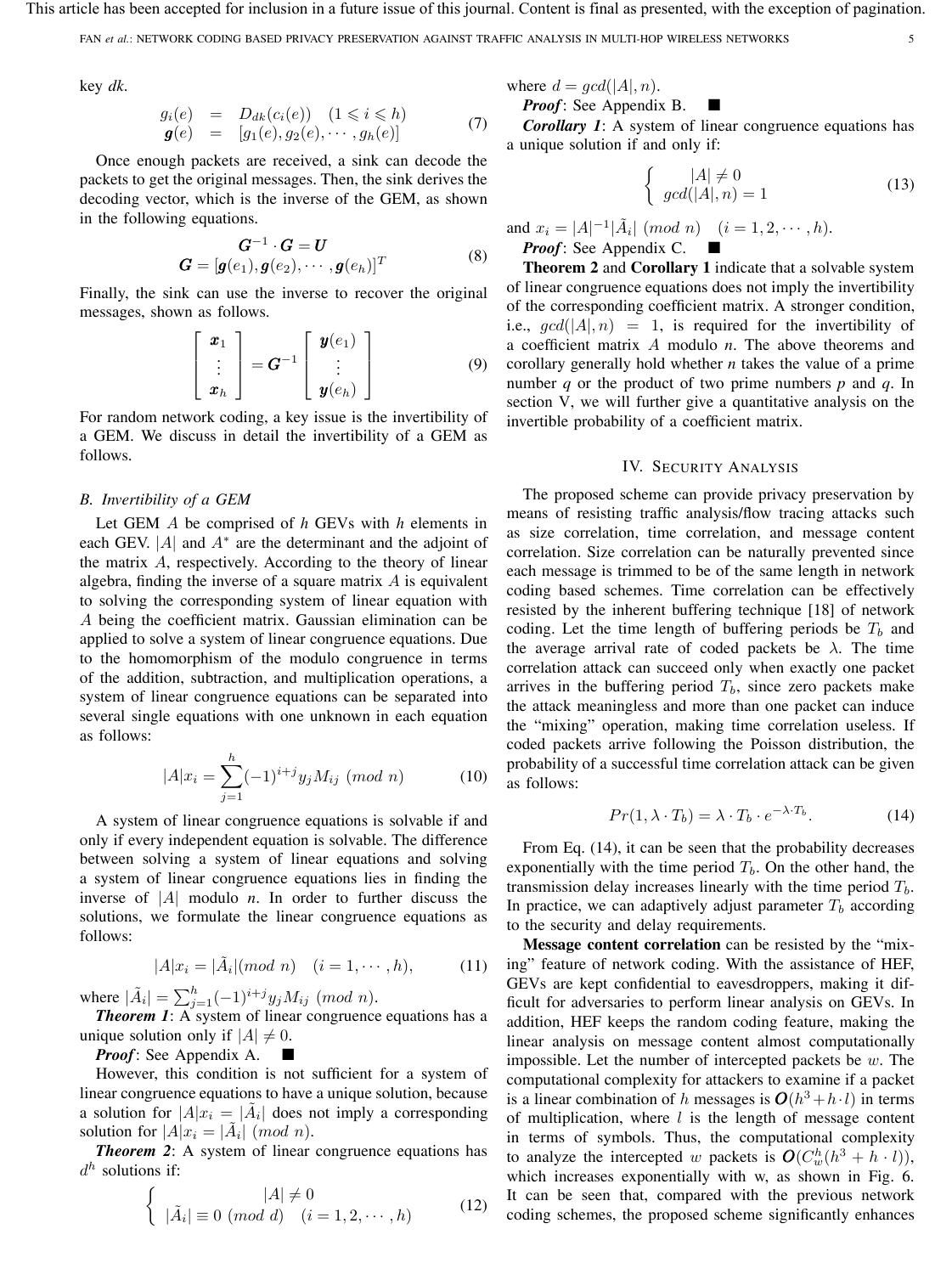FAN et al.: NETWORK CODING BASED PRIVACY PRESERVATION AGAINST TRAFFIC ANALYSIS IN MULTI-HOP WIRELESS NETWORKS 5

key *dk*.

$$
g_i(e) = D_{dk}(c_i(e)) (1 \le i \le h) \n\mathbf{g}(e) = [g_1(e), g_2(e), \cdots, g_h(e)]
$$
\n(7)

Once enough packets are received, a sink can decode the packets to get the original messages. Then, the sink derives the decoding vector, which is the inverse of the GEM, as shown in the following equations.

$$
\boldsymbol{G} = [\boldsymbol{g}(e_1), \boldsymbol{g}(e_2), \cdots, \boldsymbol{g}(e_h)]^T
$$
(8)

Finally, the sink can use the inverse to recover the original messages, shown as follows.

$$
\begin{bmatrix} x_1 \\ \vdots \\ x_h \end{bmatrix} = G^{-1} \begin{bmatrix} y(e_1) \\ \vdots \\ y(e_h) \end{bmatrix}
$$
 (9)

For random network coding, a key issue is the invertibility of a GEM. We discuss in detail the invertibility of a GEM as follows.

#### *B. Invertibility of a GEM*

Let GEM *A* be comprised of *h* GEVs with *h* elements in each GEV. |A| and  $A^*$  are the determinant and the adjoint of the matrix  $A$ , respectively. According to the theory of linear algebra, finding the inverse of a square matrix  $\vec{A}$  is equivalent to solving the corresponding system of linear equation with being the coefficient matrix. Gaussian elimination can be applied to solve a system of linear congruence equations. Due to the homomorphism of the modulo congruence in terms of the addition, subtraction, and multiplication operations, a system of linear congruence equations can be separated into several single equations with one unknown in each equation as follows:

$$
|A|x_i = \sum_{j=1}^{h} (-1)^{i+j} y_j M_{ij} \ (mod \ n)
$$
 (10)

A system of linear congruence equations is solvable if and only if every independent equation is solvable. The difference between solving a system of linear equations and solving a system of linear congruence equations lies in finding the inverse of ∣∣ modulo *n*. In order to further discuss the solutions, we formulate the linear congruence equations as follows:

$$
|A|x_i = |\tilde{A}_i|(mod\ n) \quad (i = 1, \cdots, h), \tag{11}
$$

where  $|\tilde{A}_i| = \sum_{j=1}^h (-1)^{i+j} y_j M_{ij}$  (mod n).

**Theorem 1**: A system of linear congruence equations has a unique solution only if  $|A| \neq 0$ .

*Proof*: See Appendix A.

However, this condition is not sufficient for a system of linear congruence equations to have a unique solution, because a solution for  $|A|x_i| = |A_i|$  does not imply a corresponding solution for  $|A|x_i = |A_i| \pmod{n}$ .

*Theorem 2*: A system of linear congruence equations has  $d^h$  solutions if:

$$
\begin{cases} |A| \neq 0 \\ |\tilde{A}_i| \equiv 0 \ (mod \ d) \quad (i = 1, 2, \cdots, h) \end{cases} (12)
$$

where  $d = \gcd(|A|, n)$ .

*Proof*: See Appendix B.

*Corollary 1*: A system of linear congruence equations has a unique solution if and only if:

$$
\begin{cases} |A| \neq 0\\ \gcd(|A|, n) = 1 \end{cases}
$$
\n(13)

and  $x_i = |A|^{-1}|\tilde{A}_i| \pmod{n} \quad (i = 1, 2, \cdots, h).$ 

*Proof*: See Appendix C.

**Theorem 2** and **Corollary 1** indicate that a solvable system of linear congruence equations does not imply the invertibility of the corresponding coefficient matrix. A stronger condition, i.e.,  $gcd(|A|, n) = 1$ , is required for the invertibility of a coefficient matrix A modulo *n*. The above theorems and corollary generally hold whether *n* takes the value of a prime number *q* or the product of two prime numbers *p* and *q*. In section V, we will further give a quantitative analysis on the invertible probability of a coefficient matrix.

## IV. SECURITY ANALYSIS

The proposed scheme can provide privacy preservation by means of resisting traffic analysis/flow tracing attacks such as size correlation, time correlation, and message content correlation. Size correlation can be naturally prevented since each message is trimmed to be of the same length in network coding based schemes. Time correlation can be effectively resisted by the inherent buffering technique [18] of network coding. Let the time length of buffering periods be  $T<sub>b</sub>$  and the average arrival rate of coded packets be  $\lambda$ . The time correlation attack can succeed only when exactly one packet arrives in the buffering period  $T<sub>b</sub>$ , since zero packets make the attack meaningless and more than one packet can induce the "mixing" operation, making time correlation useless. If coded packets arrive following the Poisson distribution, the probability of a successful time correlation attack can be given as follows:

$$
Pr(1, \lambda \cdot T_b) = \lambda \cdot T_b \cdot e^{-\lambda \cdot T_b}.
$$
 (14)

From Eq. (14), it can be seen that the probability decreases exponentially with the time period  $T<sub>b</sub>$ . On the other hand, the transmission delay increases linearly with the time period  $T_b$ . In practice, we can adaptively adjust parameter  $T<sub>b</sub>$  according to the security and delay requirements.

**Message content correlation** can be resisted by the "mixing" feature of network coding. With the assistance of HEF, GEVs are kept confidential to eavesdroppers, making it difficult for adversaries to perform linear analysis on GEVs. In addition, HEF keeps the random coding feature, making the linear analysis on message content almost computationally impossible. Let the number of intercepted packets be  $w$ . The computational complexity for attackers to examine if a packet is a linear combination of h messages is  $O(h^3 + h \cdot l)$  in terms of multiplication, where  $l$  is the length of message content in terms of symbols. Thus, the computational complexity to analyze the intercepted w packets is  $\mathbf{O}(C_w^h(h^3 + h \cdot l)),$ which increases exponentially with w, as shown in Fig. 6. It can be seen that, compared with the previous network coding schemes, the proposed scheme significantly enhances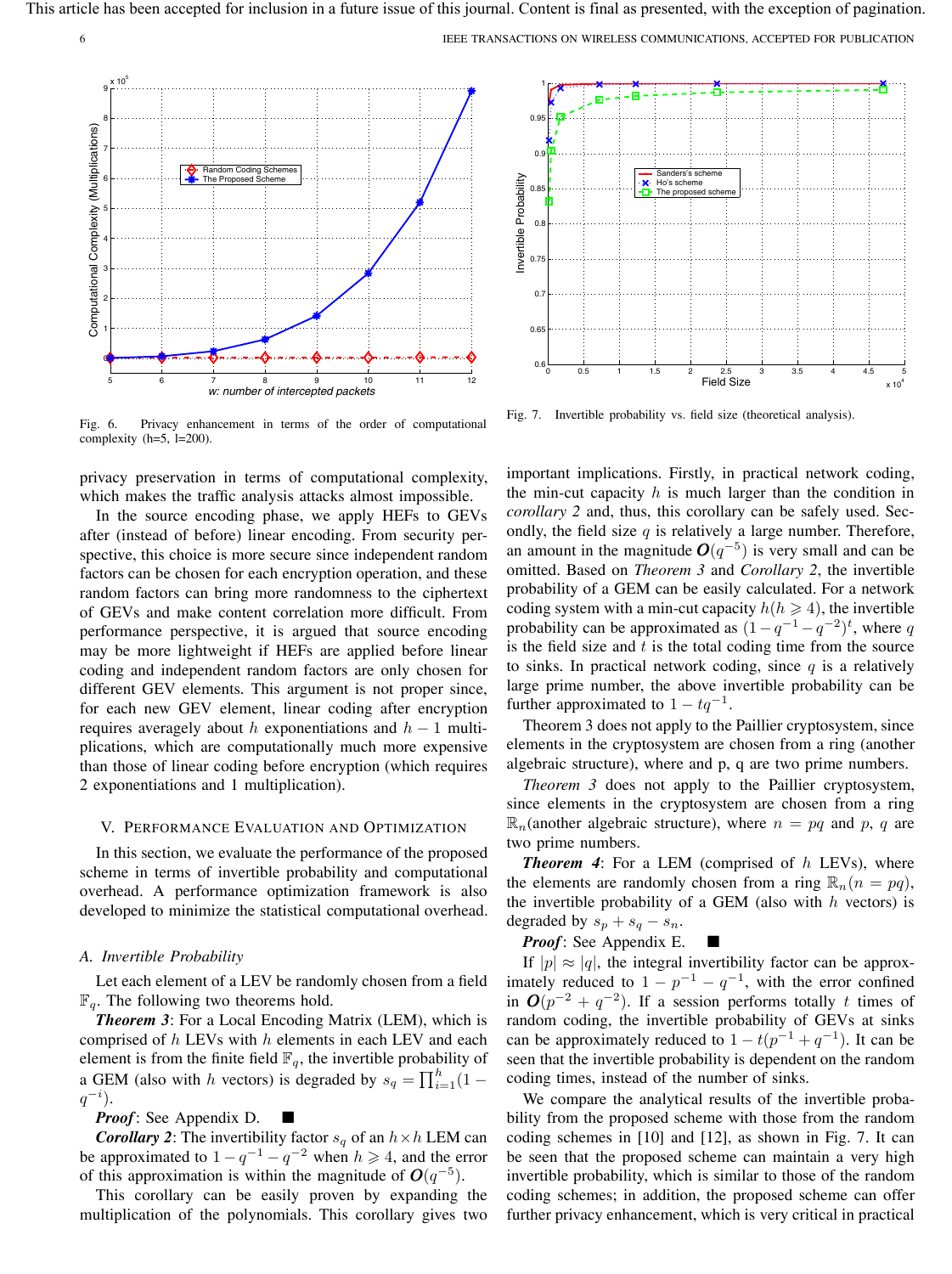

Fig. 6. Privacy enhancement in terms of the order of computational complexity (h=5, l=200).

privacy preservation in terms of computational complexity, which makes the traffic analysis attacks almost impossible.

In the source encoding phase, we apply HEFs to GEVs after (instead of before) linear encoding. From security perspective, this choice is more secure since independent random factors can be chosen for each encryption operation, and these random factors can bring more randomness to the ciphertext of GEVs and make content correlation more difficult. From performance perspective, it is argued that source encoding may be more lightweight if HEFs are applied before linear coding and independent random factors are only chosen for different GEV elements. This argument is not proper since, for each new GEV element, linear coding after encryption requires averagely about h exponentiations and  $h - 1$  multiplications, which are computationally much more expensive than those of linear coding before encryption (which requires 2 exponentiations and 1 multiplication).

#### V. PERFORMANCE EVALUATION AND OPTIMIZATION

In this section, we evaluate the performance of the proposed scheme in terms of invertible probability and computational overhead. A performance optimization framework is also developed to minimize the statistical computational overhead.

#### *A. Invertible Probability*

Let each element of a LEV be randomly chosen from a field  $\mathbb{F}_q$ . The following two theorems hold.

*Theorem 3*: For a Local Encoding Matrix (LEM), which is comprised of  $h$  LEVs with  $h$  elements in each LEV and each element is from the finite field  $\mathbb{F}_q$ , the invertible probability of a GEM (also with h vectors) is degraded by  $s_q = \prod_{i=1}^h (1$  $q^{-i}$ ).

## *Proof*: See Appendix D.

*Corollary 2*: The invertibility factor  $s_q$  of an  $h \times h$  LEM can be approximated to  $1 - q^{-1} - q^{-2}$  when  $h \ge 4$ , and the error of this approximation is within the magnitude of  $O(q^{-5})$ .

This corollary can be easily proven by expanding the multiplication of the polynomials. This corollary gives two



Fig. 7. Invertible probability vs. field size (theoretical analysis).

important implications. Firstly, in practical network coding, the min-cut capacity  $h$  is much larger than the condition in *corollary 2* and, thus, this corollary can be safely used. Secondly, the field size  $q$  is relatively a large number. Therefore, an amount in the magnitude  $O(q^{-5})$  is very small and can be omitted. Based on *Theorem 3* and *Corollary 2*, the invertible probability of a GEM can be easily calculated. For a network coding system with a min-cut capacity  $h(h \geq 4)$ , the invertible probability can be approximated as  $(1-q^{-1}-q^{-2})^t$ , where q is the field size and  $t$  is the total coding time from the source to sinks. In practical network coding, since  $q$  is a relatively large prime number, the above invertible probability can be further approximated to  $1 - tq^{-1}$ .

Theorem 3 does not apply to the Paillier cryptosystem, since elements in the cryptosystem are chosen from a ring (another algebraic structure), where and p, q are two prime numbers.

*Theorem 3* does not apply to the Paillier cryptosystem, since elements in the cryptosystem are chosen from a ring  $\mathbb{R}_n$ (another algebraic structure), where  $n = pq$  and p, q are two prime numbers.

*Theorem 4*: For a LEM (comprised of h LEVs), where the elements are randomly chosen from a ring  $\mathbb{R}_n(n = pq)$ , the invertible probability of a GEM (also with  $h$  vectors) is degraded by  $s_p + s_q - s_n$ .

*Proof*: See Appendix E.

If  $|p| \approx |q|$ , the integral invertibility factor can be approximately reduced to  $1 - p^{-1} - q^{-1}$ , with the error confined in  $O(p^{-2} + q^{-2})$ . If a session performs totally t times of random coding, the invertible probability of GEVs at sinks can be approximately reduced to  $1 - t(p^{-1} + q^{-1})$ . It can be seen that the invertible probability is dependent on the random coding times, instead of the number of sinks.

We compare the analytical results of the invertible probability from the proposed scheme with those from the random coding schemes in [10] and [12], as shown in Fig. 7. It can be seen that the proposed scheme can maintain a very high invertible probability, which is similar to those of the random coding schemes; in addition, the proposed scheme can offer further privacy enhancement, which is very critical in practical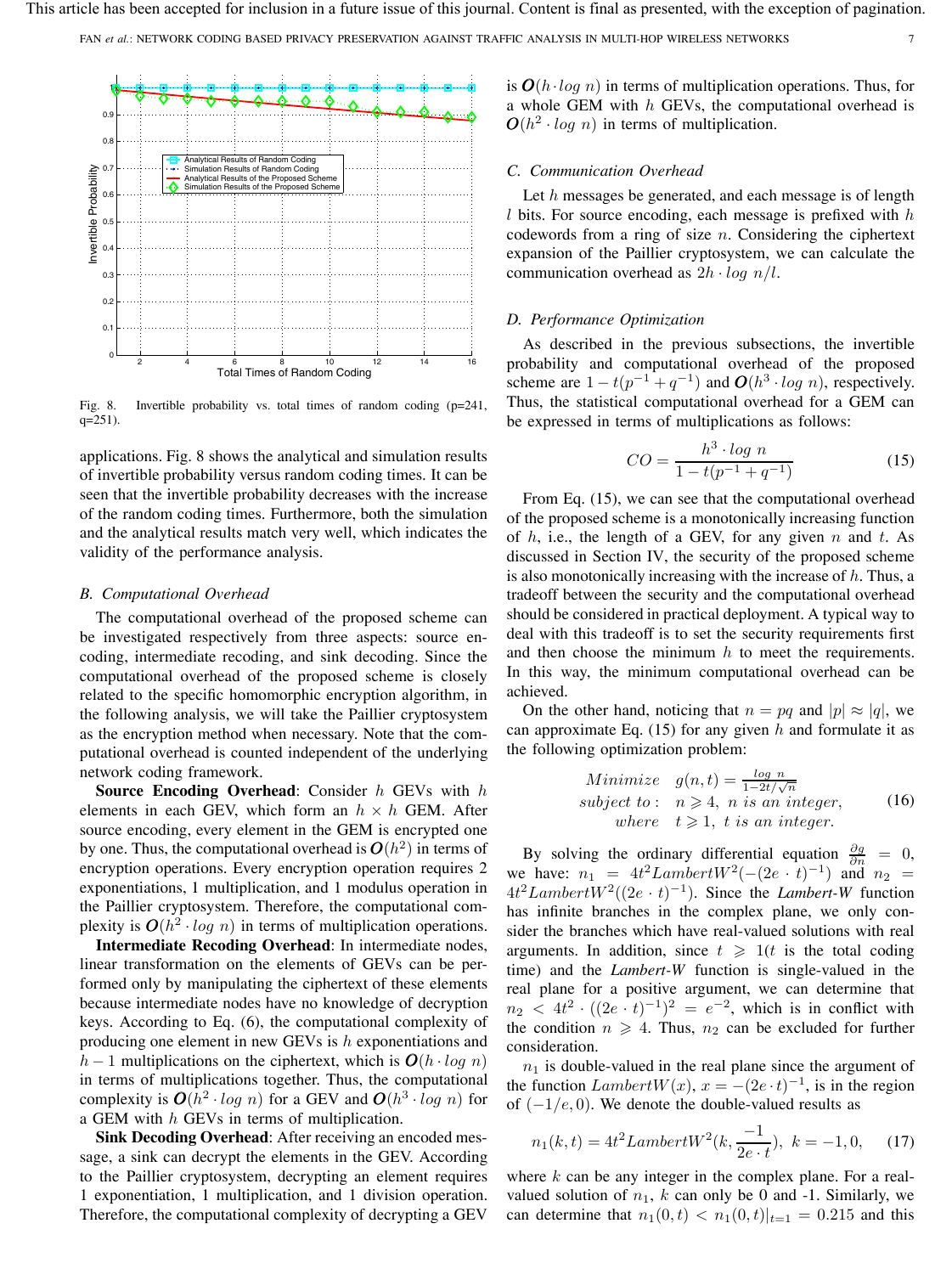FAN *et al.*: NETWORK CODING BASED PRIVACY PRESERVATION AGAINST TRAFFIC ANALYSIS IN MULTI-HOP WIRELESS NETWORKS 7



Fig. 8. Invertible probability vs. total times of random coding (p=241, q=251).

applications. Fig. 8 shows the analytical and simulation results of invertible probability versus random coding times. It can be seen that the invertible probability decreases with the increase of the random coding times. Furthermore, both the simulation and the analytical results match very well, which indicates the validity of the performance analysis.

#### *B. Computational Overhead*

The computational overhead of the proposed scheme can be investigated respectively from three aspects: source encoding, intermediate recoding, and sink decoding. Since the computational overhead of the proposed scheme is closely related to the specific homomorphic encryption algorithm, in the following analysis, we will take the Paillier cryptosystem as the encryption method when necessary. Note that the computational overhead is counted independent of the underlying network coding framework.

**Source Encoding Overhead**: Consider h GEVs with h elements in each GEV, which form an  $h \times h$  GEM. After source encoding, every element in the GEM is encrypted one by one. Thus, the computational overhead is  $O(h^2)$  in terms of encryption operations. Every encryption operation requires 2 exponentiations, 1 multiplication, and 1 modulus operation in the Paillier cryptosystem. Therefore, the computational complexity is  $O(h^2 \cdot \log n)$  in terms of multiplication operations.

**Intermediate Recoding Overhead**: In intermediate nodes, linear transformation on the elements of GEVs can be performed only by manipulating the ciphertext of these elements because intermediate nodes have no knowledge of decryption keys. According to Eq. (6), the computational complexity of producing one element in new GEVs is  $h$  exponentiations and  $h-1$  multiplications on the ciphertext, which is  $O(h \cdot \log n)$ in terms of multiplications together. Thus, the computational complexity is  $O(h^2 \cdot \log n)$  for a GEV and  $O(h^3 \cdot \log n)$  for a GEM with  $h$  GEVs in terms of multiplication.

**Sink Decoding Overhead**: After receiving an encoded message, a sink can decrypt the elements in the GEV. According to the Paillier cryptosystem, decrypting an element requires 1 exponentiation, 1 multiplication, and 1 division operation. Therefore, the computational complexity of decrypting a GEV is  $O(h \cdot \log n)$  in terms of multiplication operations. Thus, for a whole GEM with  $h$  GEVs, the computational overhead is  $O(h^2 \cdot \log n)$  in terms of multiplication.

#### *C. Communication Overhead*

Let  $h$  messages be generated, and each message is of length  $l$  bits. For source encoding, each message is prefixed with  $h$ codewords from a ring of size  $n$ . Considering the ciphertext expansion of the Paillier cryptosystem, we can calculate the communication overhead as  $2h \cdot \log n/l$ .

## *D. Performance Optimization*

As described in the previous subsections, the invertible probability and computational overhead of the proposed scheme are  $1 - t(p^{-1} + q^{-1})$  and  $O(h^3 \cdot \log n)$ , respectively. Thus, the statistical computational overhead for a GEM can be expressed in terms of multiplications as follows:

$$
CO = \frac{h^3 \cdot \log n}{1 - t(p^{-1} + q^{-1})}
$$
 (15)

From Eq. (15), we can see that the computational overhead of the proposed scheme is a monotonically increasing function of  $h$ , i.e., the length of a GEV, for any given  $n$  and  $t$ . As discussed in Section IV, the security of the proposed scheme is also monotonically increasing with the increase of *. Thus, a* tradeoff between the security and the computational overhead should be considered in practical deployment. A typical way to deal with this tradeoff is to set the security requirements first and then choose the minimum  $h$  to meet the requirements. In this way, the minimum computational overhead can be achieved.

On the other hand, noticing that  $n = pq$  and  $|p| \approx |q|$ , we can approximate Eq. (15) for any given  $h$  and formulate it as the following optimization problem:

Minimize 
$$
g(n,t) = \frac{\log n}{1 - 2t/\sqrt{n}}
$$
  
subject to:  $n \ge 4$ , n is an integer,  
where  $t \ge 1$ , t is an integer. (16)

By solving the ordinary differential equation  $\frac{\partial g}{\partial n} = 0$ , we have:  $n_1 = 4t^2LambertW^2(-(2e \cdot t)^{-1})$  and  $n_2 =$  $4t^2LambertW^2((2e \cdot t)^{-1})$ . Since the *Lambert-W* function has infinite branches in the complex plane, we only consider the branches which have real-valued solutions with real arguments. In addition, since  $t \geq 1$  (*t* is the total coding time) and the *Lambert-W* function is single-valued in the real plane for a positive argument, we can determine that  $n_2 < 4t^2 \cdot ((2e \cdot t)^{-1})^2 = e^{-2}$ , which is in conflict with the condition  $n \geqslant 4$ . Thus,  $n_2$  can be excluded for further consideration.

 $n_1$  is double-valued in the real plane since the argument of the function  $LambertW(x), x = -(2e \cdot t)^{-1}$ , is in the region of  $(-1/e, 0)$ . We denote the double-valued results as

$$
n_1(k,t) = 4t^2Lambert W^2(k, \frac{-1}{2e \cdot t}), \ k = -1, 0, \quad (17)
$$

where  $k$  can be any integer in the complex plane. For a realvalued solution of  $n_1$ ,  $k$  can only be 0 and -1. Similarly, we can determine that  $n_1(0, t) < n_1(0, t)|_{t=1} = 0.215$  and this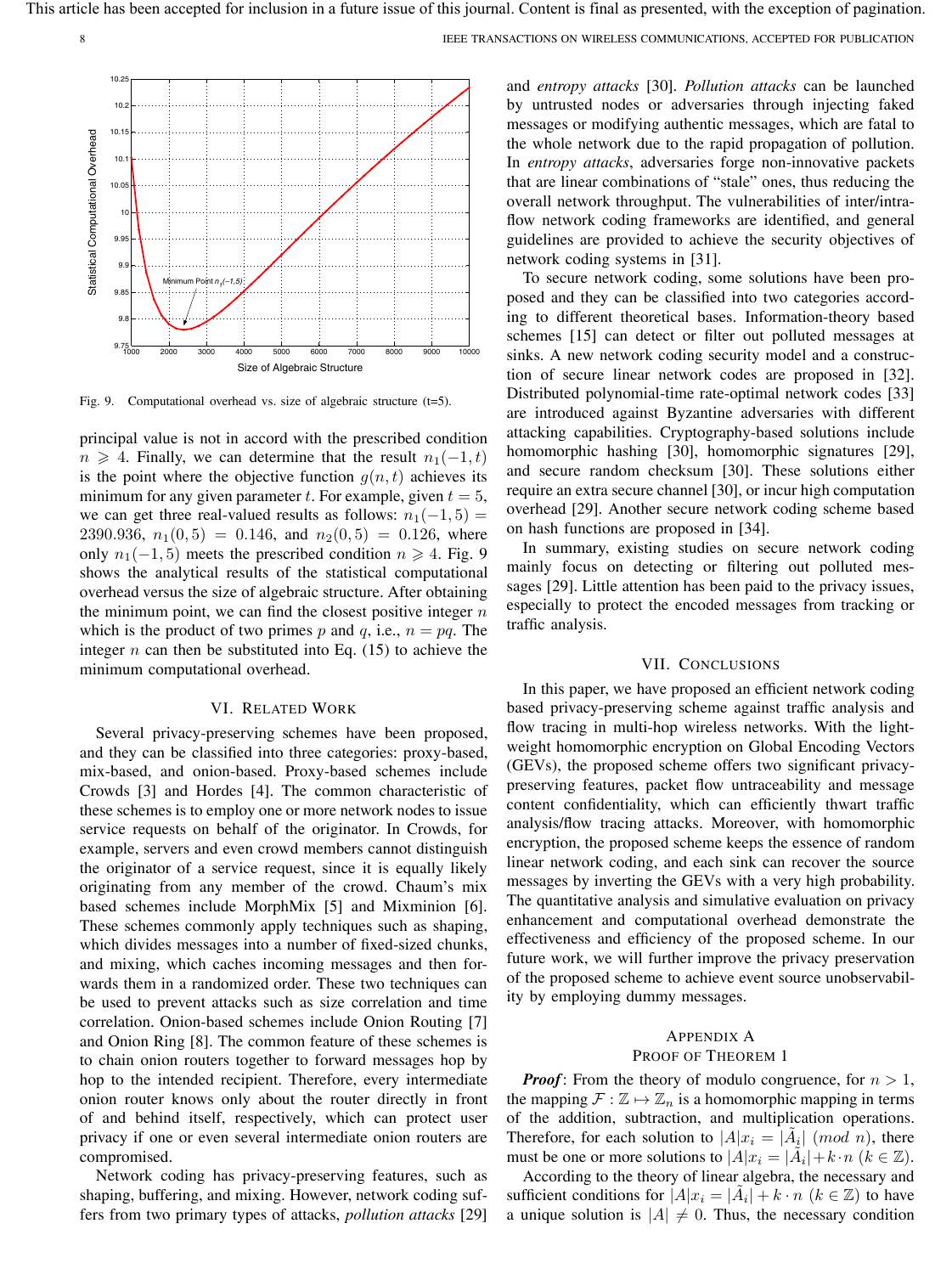

Fig. 9. Computational overhead vs. size of algebraic structure (t=5).

principal value is not in accord with the prescribed condition  $n \geq 4$ . Finally, we can determine that the result  $n_1(-1, t)$ is the point where the objective function  $g(n, t)$  achieves its minimum for any given parameter t. For example, given  $t = 5$ , we can get three real-valued results as follows:  $n_1(-1, 5) =$ 2390.936,  $n_1(0, 5) = 0.146$ , and  $n_2(0, 5) = 0.126$ , where only  $n_1(-1, 5)$  meets the prescribed condition  $n \geq 4$ . Fig. 9 shows the analytical results of the statistical computational overhead versus the size of algebraic structure. After obtaining the minimum point, we can find the closest positive integer  $n$ which is the product of two primes p and q, i.e.,  $n = pq$ . The integer  $n$  can then be substituted into Eq. (15) to achieve the minimum computational overhead.

#### VI. RELATED WORK

Several privacy-preserving schemes have been proposed, and they can be classified into three categories: proxy-based, mix-based, and onion-based. Proxy-based schemes include Crowds [3] and Hordes [4]. The common characteristic of these schemes is to employ one or more network nodes to issue service requests on behalf of the originator. In Crowds, for example, servers and even crowd members cannot distinguish the originator of a service request, since it is equally likely originating from any member of the crowd. Chaum's mix based schemes include MorphMix [5] and Mixminion [6]. These schemes commonly apply techniques such as shaping, which divides messages into a number of fixed-sized chunks, and mixing, which caches incoming messages and then forwards them in a randomized order. These two techniques can be used to prevent attacks such as size correlation and time correlation. Onion-based schemes include Onion Routing [7] and Onion Ring [8]. The common feature of these schemes is to chain onion routers together to forward messages hop by hop to the intended recipient. Therefore, every intermediate onion router knows only about the router directly in front of and behind itself, respectively, which can protect user privacy if one or even several intermediate onion routers are compromised.

Network coding has privacy-preserving features, such as shaping, buffering, and mixing. However, network coding suffers from two primary types of attacks, *pollution attacks* [29]

and *entropy attacks* [30]. *Pollution attacks* can be launched by untrusted nodes or adversaries through injecting faked messages or modifying authentic messages, which are fatal to the whole network due to the rapid propagation of pollution. In *entropy attacks*, adversaries forge non-innovative packets that are linear combinations of "stale" ones, thus reducing the overall network throughput. The vulnerabilities of inter/intraflow network coding frameworks are identified, and general guidelines are provided to achieve the security objectives of network coding systems in [31].

To secure network coding, some solutions have been proposed and they can be classified into two categories according to different theoretical bases. Information-theory based schemes [15] can detect or filter out polluted messages at sinks. A new network coding security model and a construction of secure linear network codes are proposed in [32]. Distributed polynomial-time rate-optimal network codes [33] are introduced against Byzantine adversaries with different attacking capabilities. Cryptography-based solutions include homomorphic hashing [30], homomorphic signatures [29], and secure random checksum [30]. These solutions either require an extra secure channel [30], or incur high computation overhead [29]. Another secure network coding scheme based on hash functions are proposed in [34].

In summary, existing studies on secure network coding mainly focus on detecting or filtering out polluted messages [29]. Little attention has been paid to the privacy issues, especially to protect the encoded messages from tracking or traffic analysis.

## VII. CONCLUSIONS

In this paper, we have proposed an efficient network coding based privacy-preserving scheme against traffic analysis and flow tracing in multi-hop wireless networks. With the lightweight homomorphic encryption on Global Encoding Vectors (GEVs), the proposed scheme offers two significant privacypreserving features, packet flow untraceability and message content confidentiality, which can efficiently thwart traffic analysis/flow tracing attacks. Moreover, with homomorphic encryption, the proposed scheme keeps the essence of random linear network coding, and each sink can recover the source messages by inverting the GEVs with a very high probability. The quantitative analysis and simulative evaluation on privacy enhancement and computational overhead demonstrate the effectiveness and efficiency of the proposed scheme. In our future work, we will further improve the privacy preservation of the proposed scheme to achieve event source unobservability by employing dummy messages.

## APPENDIX A PROOF OF THEOREM 1

*Proof*: From the theory of modulo congruence, for  $n > 1$ , the mapping  $\mathcal{F} : \mathbb{Z} \mapsto \mathbb{Z}_n$  is a homomorphic mapping in terms of the addition, subtraction, and multiplication operations. Therefore, for each solution to  $|A|x_i| = |A_i| \pmod{n}$ , there must be one or more solutions to  $|A|x_i| = |A_i| + k \cdot n \ (k \in \mathbb{Z}).$ 

According to the theory of linear algebra, the necessary and sufficient conditions for  $|A|x_i = |\tilde{A}_i| + k \cdot n \ (k \in \mathbb{Z})$  to have a unique solution is  $|A| \neq 0$ . Thus, the necessary condition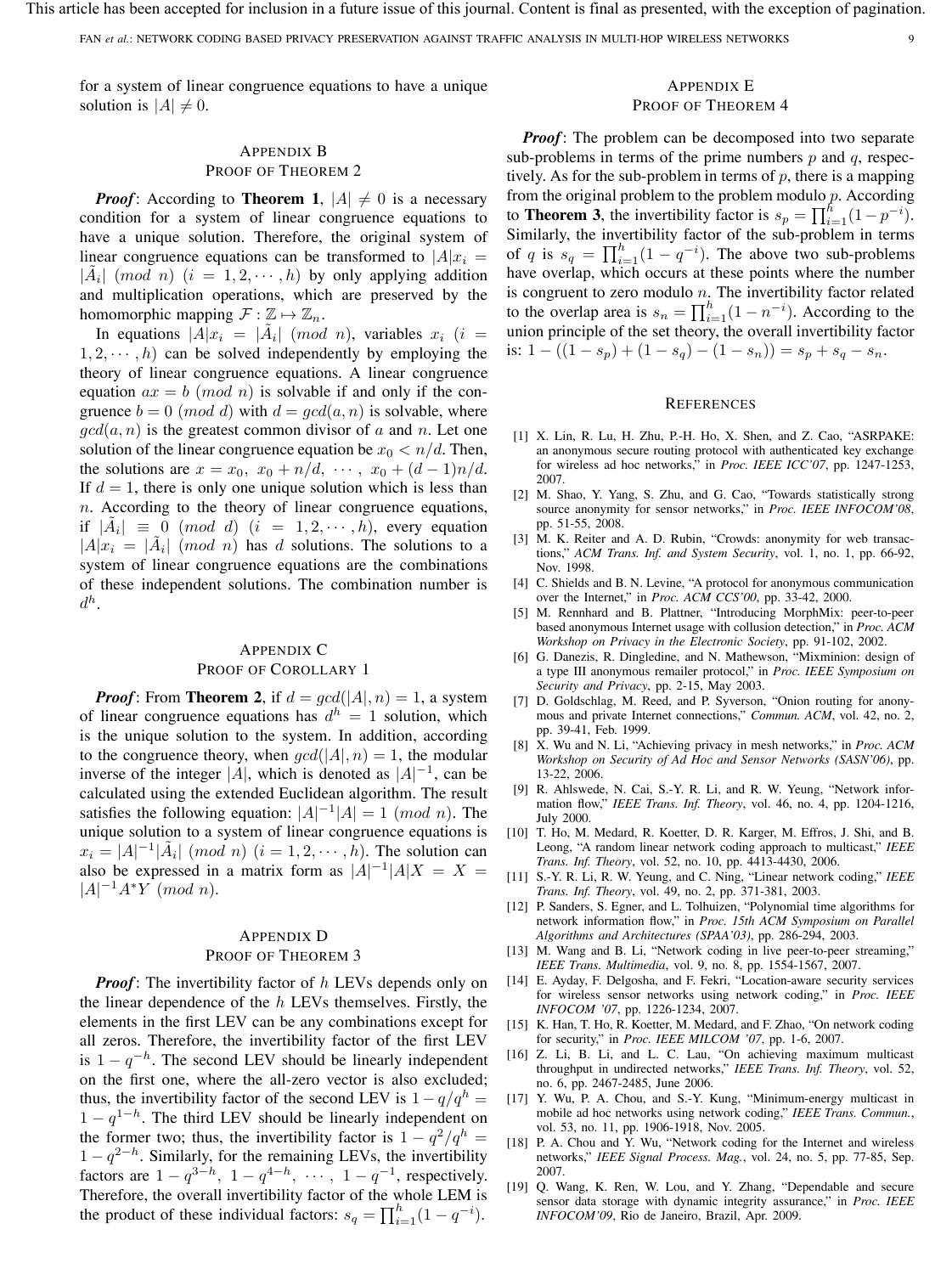FAN et al.: NETWORK CODING BASED PRIVACY PRESERVATION AGAINST TRAFFIC ANALYSIS IN MULTI-HOP WIRELESS NETWORKS

for a system of linear congruence equations to have a unique solution is  $|A| \neq 0$ .

#### APPENDIX B PROOF OF THEOREM 2

*Proof*: According to **Theorem 1**,  $|A| \neq 0$  is a necessary condition for a system of linear congruence equations to have a unique solution. Therefore, the original system of linear congruence equations can be transformed to  $|A|x_i|$  $|\tilde{A}_i| \pmod{n}$   $(i = 1, 2, \dots, h)$  by only applying addition and multiplication operations, which are preserved by the homomorphic mapping  $\mathcal{F} : \mathbb{Z} \mapsto \mathbb{Z}_n$ .

In equations  $|A|x_i| = |\tilde{A}_i| \pmod{n}$ , variables  $x_i$  (i =  $1, 2, \dots, h$  can be solved independently by employing the theory of linear congruence equations. A linear congruence equation  $ax = b \pmod{n}$  is solvable if and only if the congruence  $b = 0 \pmod{d}$  with  $d = \gcd(a, n)$  is solvable, where  $gcd(a, n)$  is the greatest common divisor of a and n. Let one solution of the linear congruence equation be  $x_0 < n/d$ . Then, the solutions are  $x = x_0$ ,  $x_0 + n/d$ ,  $\cdots$ ,  $x_0 + (d-1)n/d$ . If  $d = 1$ , there is only one unique solution which is less than  $n.$  According to the theory of linear congruence equations, if  $|A_i| \equiv 0 \pmod{d}$   $(i = 1, 2, \dots, h)$ , every equation  $|A|x_i| = |\tilde{A}_i| \pmod{n}$  has d solutions. The solutions to a system of linear congruence equations are the combinations of these independent solutions. The combination number is  $d^h$ .

## APPENDIX C

## PROOF OF COROLLARY 1

*Proof*: From **Theorem 2**, if  $d = gcd(|A|, n) = 1$ , a system of linear congruence equations has  $d^h = 1$  solution, which is the unique solution to the system. In addition, according to the congruence theory, when  $qcd(|A|, n)=1$ , the modular inverse of the integer |A|, which is denoted as  $|A|^{-1}$ , can be calculated using the extended Euclidean algorithm. The result satisfies the following equation:  $|A|^{-1}|A| = 1 \pmod{n}$ . The unique solution to a system of linear congruence equations is  $x_i = |A|^{-1}|\tilde{A}_i| \pmod{n}$   $(i = 1, 2, \dots, h)$ . The solution can also be expressed in a matrix form as  $|A|^{-1}|A|X = X =$  $|A|^{-1}A^*Y \pmod{n}.$ 

#### APPENDIX D

#### PROOF OF THEOREM 3

*Proof*: The invertibility factor of h LEVs depends only on the linear dependence of the  $h$  LEVs themselves. Firstly, the elements in the first LEV can be any combinations except for all zeros. Therefore, the invertibility factor of the first LEV is  $1 - q^{-h}$ . The second LEV should be linearly independent on the first one, where the all-zero vector is also excluded; thus, the invertibility factor of the second LEV is  $1 - q/q^h =$  $1 - q^{1-h}$ . The third LEV should be linearly independent on the former two; thus, the invertibility factor is  $1 - q^2/q^h =$  $1 - q^{2-h}$ . Similarly, for the remaining LEVs, the invertibility factors are  $1 - q^{3-h}$ ,  $1 - q^{4-h}$ ,  $\cdots$ ,  $1 - q^{-1}$ , respectively. Therefore, the overall invertibility factor of the whole LEM is the product of these individual factors:  $s_q = \prod_{i=1}^{h} (1 - q^{-i}).$ 

#### APPENDIX E PROOF OF THEOREM 4

*Proof*: The problem can be decomposed into two separate sub-problems in terms of the prime numbers  $p$  and  $q$ , respectively. As for the sub-problem in terms of  $p$ , there is a mapping from the original problem to the problem modulo  $p$ . According to **Theorem 3**, the invertibility factor is  $s_p = \prod_{i=1}^h (1 - p^{-i}).$ Similarly, the invertibility factor of the sub-problem in terms of q is  $s_q = \prod_{i=1}^h (1 - q^{-i})$ . The above two sub-problems have overlap, which occurs at these points where the number is congruent to zero modulo  $n$ . The invertibility factor related to the overlap area is  $s_n = \prod_{i=1}^h (1 - n^{-i})$ . According to the union principle of the set theory, the overall invertibility factor is:  $1 - ((1 - s_p) + (1 - s_q) - (1 - s_n)) = s_p + s_q - s_n$ .

#### **REFERENCES**

- [1] X. Lin, R. Lu, H. Zhu, P.-H. Ho, X. Shen, and Z. Cao, "ASRPAKE: an anonymous secure routing protocol with authenticated key exchange for wireless ad hoc networks," in *Proc. IEEE ICC'07*, pp. 1247-1253, 2007.
- [2] M. Shao, Y. Yang, S. Zhu, and G. Cao, "Towards statistically strong source anonymity for sensor networks," in *Proc. IEEE INFOCOM'08*, pp. 51-55, 2008.
- [3] M. K. Reiter and A. D. Rubin, "Crowds: anonymity for web transactions," *ACM Trans. Inf. and System Security*, vol. 1, no. 1, pp. 66-92, Nov. 1998.
- [4] C. Shields and B. N. Levine, "A protocol for anonymous communication over the Internet," in *Proc. ACM CCS'00*, pp. 33-42, 2000.
- [5] M. Rennhard and B. Plattner, "Introducing MorphMix: peer-to-peer based anonymous Internet usage with collusion detection," in *Proc. ACM Workshop on Privacy in the Electronic Society*, pp. 91-102, 2002.
- [6] G. Danezis, R. Dingledine, and N. Mathewson, "Mixminion: design of a type III anonymous remailer protocol," in *Proc. IEEE Symposium on Security and Privacy*, pp. 2-15, May 2003.
- [7] D. Goldschlag, M. Reed, and P. Syverson, "Onion routing for anonymous and private Internet connections," *Commun. ACM*, vol. 42, no. 2, pp. 39-41, Feb. 1999.
- [8] X. Wu and N. Li, "Achieving privacy in mesh networks," in *Proc. ACM Workshop on Security of Ad Hoc and Sensor Networks (SASN'06)*, pp. 13-22, 2006.
- [9] R. Ahlswede, N. Cai, S.-Y. R. Li, and R. W. Yeung, "Network information flow," *IEEE Trans. Inf. Theory*, vol. 46, no. 4, pp. 1204-1216, July 2000.
- [10] T. Ho, M. Medard, R. Koetter, D. R. Karger, M. Effros, J. Shi, and B. Leong, "A random linear network coding approach to multicast," *IEEE Trans. Inf. Theory*, vol. 52, no. 10, pp. 4413-4430, 2006.
- [11] S.-Y. R. Li, R. W. Yeung, and C. Ning, "Linear network coding," *IEEE Trans. Inf. Theory*, vol. 49, no. 2, pp. 371-381, 2003.
- [12] P. Sanders, S. Egner, and L. Tolhuizen, "Polynomial time algorithms for network information flow," in *Proc. 15th ACM Symposium on Parallel Algorithms and Architectures (SPAA'03)*, pp. 286-294, 2003.
- [13] M. Wang and B. Li, "Network coding in live peer-to-peer streaming," *IEEE Trans. Multimedia*, vol. 9, no. 8, pp. 1554-1567, 2007.
- [14] E. Ayday, F. Delgosha, and F. Fekri, "Location-aware security services for wireless sensor networks using network coding," in *Proc. IEEE INFOCOM '07*, pp. 1226-1234, 2007.
- [15] K. Han, T. Ho, R. Koetter, M. Medard, and F. Zhao, "On network coding for security," in *Proc. IEEE MILCOM '07*, pp. 1-6, 2007.
- [16] Z. Li, B. Li, and L. C. Lau, "On achieving maximum multicast throughput in undirected networks," *IEEE Trans. Inf. Theory*, vol. 52, no. 6, pp. 2467-2485, June 2006.
- [17] Y. Wu, P. A. Chou, and S.-Y. Kung, "Minimum-energy multicast in mobile ad hoc networks using network coding," *IEEE Trans. Commun.*, vol. 53, no. 11, pp. 1906-1918, Nov. 2005.
- [18] P. A. Chou and Y. Wu, "Network coding for the Internet and wireless networks," *IEEE Signal Process. Mag.*, vol. 24, no. 5, pp. 77-85, Sep. 2007.
- [19] Q. Wang, K. Ren, W. Lou, and Y. Zhang, "Dependable and secure sensor data storage with dynamic integrity assurance," in *Proc. IEEE INFOCOM'09*, Rio de Janeiro, Brazil, Apr. 2009.